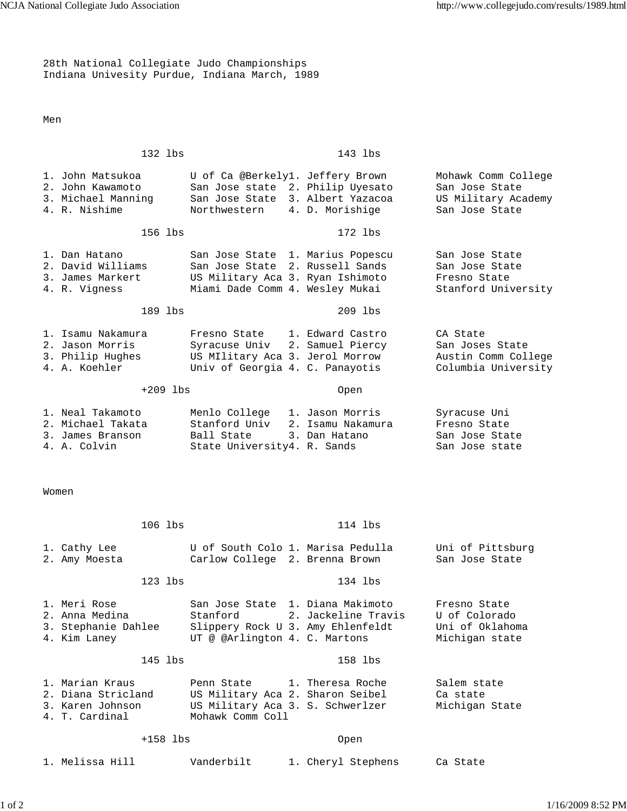28th National Collegiate Judo Championships Indiana Univesity Purdue, Indiana March, 1989

Men

132 lbs 143 lbs 1. John Matsukoa U of Ca @Berkely1. Jeffery Brown Mohawk Comm College<br>2. John Kawamoto San Jose state 2. Philip Uyesato San Jose State San Jose state 2. Philip Uyesato 3. Michael Manning San Jose State 3. Albert Yazacoa US Military Academy 4. R. Nishime Northwestern 4. D. Morishige San Jose State 156 lbs 172 lbs 1. Dan Hatano San Jose State 1. Marius Popescu San Jose State 2. David Williams San Jose State 2. Russell Sands San Jose State 3. James Markert US Military Aca 3. Ryan Ishimoto Fresno State 4. R. Vigness Miami Dade Comm 4. Wesley Mukai Stanford University 189 lbs 209 lbs 1. Isamu Nakamura Fresno State 1. Edward Castro CA State 2. Jason Morris Syracuse Univ 2. Samuel Piercy San Joses State<br>3. Philip Hughes US MIlitary Aca 3. Jerol Morrow Austin Comm College 3. Philip Hughes US MIlitary Aca 3. Jerol Morrow 4. A. Koehler Univ of Georgia 4. C. Panayotis Columbia University +209 lbs Open 1. Neal Takamoto Menlo College 1. Jason Morris Syracuse Uni<br>2. Michael Takata Stanford Univ 2. Isamu Nakamura Fresno State Stanford Univ 2. Isamu Nakamura Fresno State 3. James Branson Ball State 3. Dan Hatano San Jose State 4. A. Colvin State University4. R. Sands San Jose state Women 106 lbs 114 lbs 1. Cathy Lee  $U$  of South Colo 1. Marisa Pedulla Uni of Pittsburg 2. Amy Moesta Carlow College 2. Brenna Brown San Jose State 123 lbs 134 lbs 1. Meri Rose San Jose State 1. Diana Makimoto Fresno State 2. Anna Medina Stanford 2. Jackeline Travis U of Colorado 3. Stephanie Dahlee Slippery Rock U 3. Amy Ehlenfeldt 4. Kim Laney  $UT \otimes \mathbb{Q}$ Arlington 4. C. Martons Michigan state 145 lbs 158 lbs 1. Marian Kraus Penn State 1. Theresa Roche Salem state 2. Diana Stricland US Military Aca 2. Sharon Seibel Ca state 3. Karen Johnson US Military Aca 3. S. Schwerlzer Michigan State 4. T. Cardinal Mohawk Comm Coll +158 lbs Open 1. Melissa Hill Vanderbilt 1. Cheryl Stephens Ca State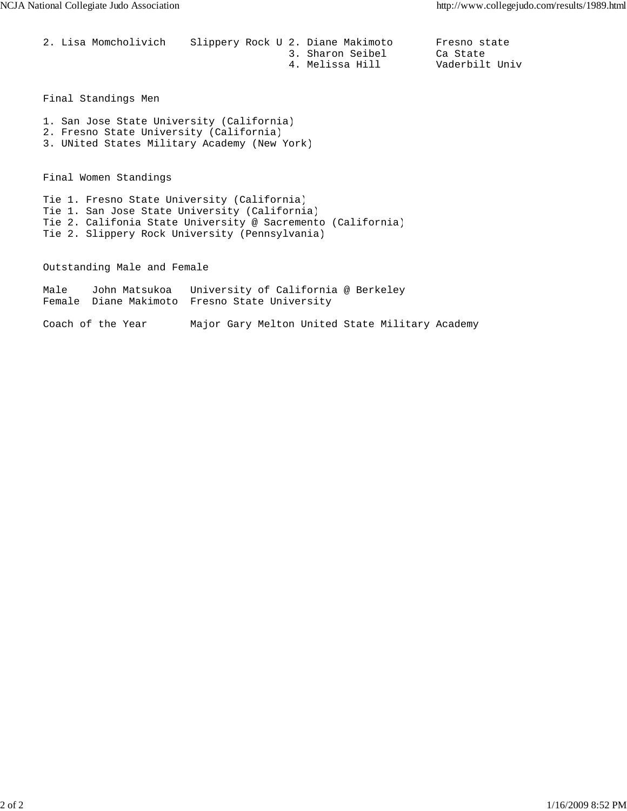| 2. Lisa Momcholivich | Slippery Rock U 2. Diane Makimoto |  |                  | Fresno state   |  |
|----------------------|-----------------------------------|--|------------------|----------------|--|
|                      |                                   |  | 3. Sharon Seibel | Ca State       |  |
|                      |                                   |  | 4. Melissa Hill  | Vaderbilt Univ |  |

Final Standings Men

- 1. San Jose State University (California)
- 2. Fresno State University (California)
- 3. UNited States Military Academy (New York)

Final Women Standings

Tie 1. Fresno State University (California) Tie 1. San Jose State University (California) Tie 2. Califonia State University @ Sacremento (California) Tie 2. Slippery Rock University (Pennsylvania)

Outstanding Male and Female

Male John Matsukoa University of California @ Berkeley Female Diane Makimoto Fresno State University

Coach of the Year Major Gary Melton United State Military Academy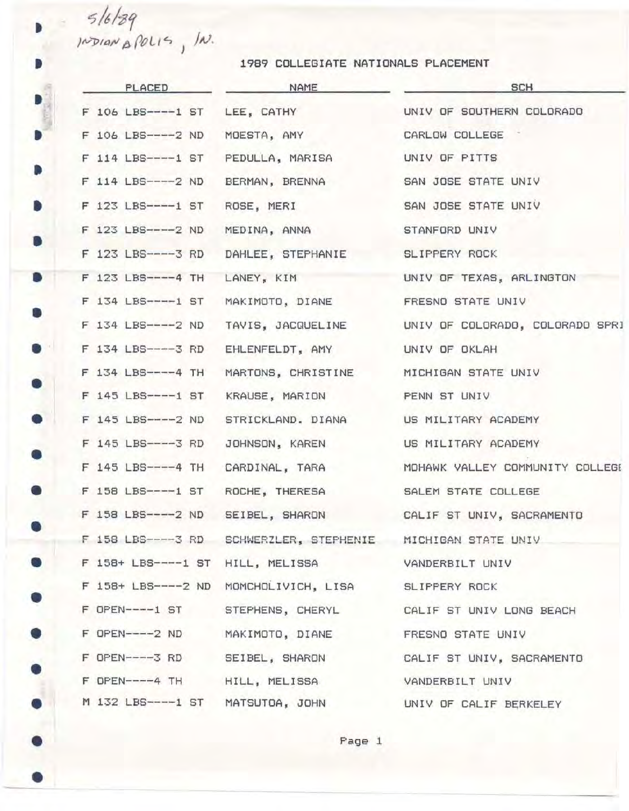*'74/-gr*  $10^{14}$   $\mu$   $10^{115}$ ,  $\mu$ . i

•

•

•

•

•

•

•

•

•

•

•

•

•

•

•

•

•

•

•

•

•

1989 COLLEGIATE NATIONALS PLACEMENT

| PLACED                            | NAME                                                        | <b>SCH</b>                                                 |
|-----------------------------------|-------------------------------------------------------------|------------------------------------------------------------|
| F 106 LBS----1 ST LEE, CATHY      |                                                             | UNIV OF SOUTHERN COLORADO                                  |
| F 106 LBS----- 2 ND               | MOESTA, AMY                                                 | CARLOW COLLEGE                                             |
| F 114 LBS----1 ST PEDULLA, MARISA |                                                             | UNIV OF PITTS                                              |
| F 114 LBS-----2 ND                | BERMAN, BRENNA                                              | SAN JOSE STATE UNIV                                        |
| F 123 LBS----1 ST ROSE, MERI      |                                                             | SAN JOSE STATE UNIV                                        |
| F 123 LBS----- 2 ND               | MEDINA, ANNA                                                | STANFORD UNIV                                              |
|                                   | F 123 LBS----3 RD DAHLEE, STEPHANIE SLIPPERY ROCK           |                                                            |
| F 123 LBS----4 TH                 |                                                             | LANEY, KIM UNIV OF TEXAS, ARLINGTON                        |
|                                   | F 134 LBS----1 ST MAKIMOTO, DIANE FRESNO STATE UNIV         |                                                            |
| F 134 LBS----2 ND                 |                                                             | TAVIS, JACQUELINE UNIV OF COLORADO, COLORADO SPRI          |
|                                   | F 134 LBS----3 RD EHLENFELDT, AMY                           | UNIV OF OKLAH                                              |
| F 134 LBS----4 TH                 | MARTONS, CHRISTINE MICHIGAN STATE UNIV                      |                                                            |
| F 145 LBS----1 ST                 | KRAUSE, MARION                                              | PENN ST UNIV                                               |
| F 145 LBS----- 2 ND               | STRICKLAND. DIANA                                           | US MILITARY ACADEMY                                        |
| F 145 LBS----3 RD                 | JOHNSON, KAREN                                              | US MILITARY ACADEMY                                        |
| F 145 LBS----4 TH                 | CARDINAL, TARA                                              | MOHAWK VALLEY COMMUNITY COLLEGE                            |
| F 158 LBS----1 ST ROCHE, THERESA  |                                                             | SALEM STATE COLLEGE                                        |
|                                   |                                                             | F 158 LBS----2 ND SEIBEL, SHARON CALIF ST UNIV, SACRAMENTO |
|                                   | F 158 LBS----3 RD SCHWERZLER, STEPHENIE MICHIGAN STATE UNIV |                                                            |
|                                   | F 158+ LBS----1 ST HILL, MELISSA VANDERBILT UNIV            |                                                            |
|                                   | F 158+ LBS----2 ND MOMCHOLIVICH, LISA SLIPPERY ROCK         |                                                            |
|                                   |                                                             | F OPEN----1 ST STEPHENS, CHERYL CALIF ST UNIV LONG BEACH   |
|                                   | F OPEN----2 ND MAKIMOTO, DIANE                              | FRESNO STATE UNIV                                          |
| F OPEN-----3 RD SEIBEL, SHARON    |                                                             | CALIF ST UNIV, SACRAMENTO                                  |
| F OPEN----4 TH HILL, MELISSA      |                                                             | VANDERBILT UNIV                                            |
| M 132 LBS----1 ST MATSUTOA, JOHN  |                                                             | UNIV OF CALIF BERKELEY                                     |
|                                   |                                                             |                                                            |

**Page 1**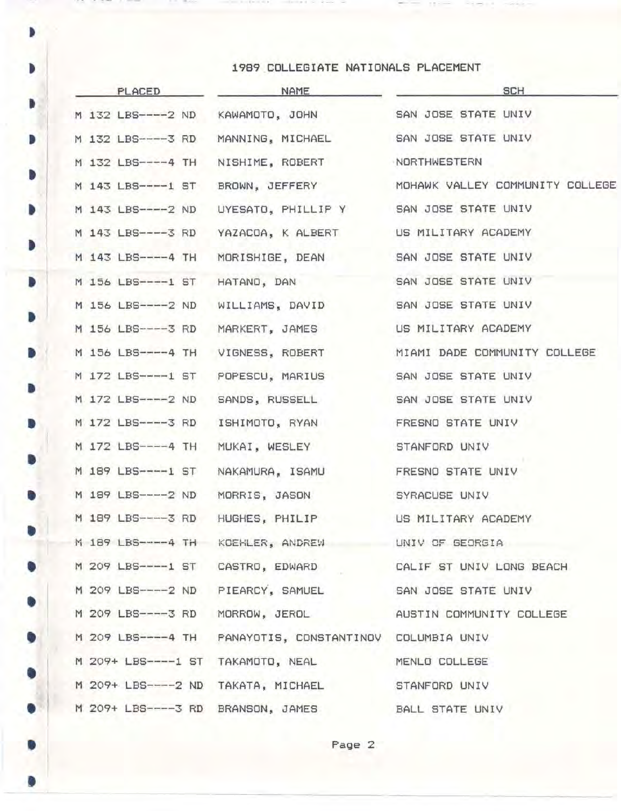## • <sup>1989</sup> COLLEGIATE NATIONALS PLACEMENT

•

|           | PLACED                           | NAME                                                    | <b>SCH</b>                                               |  |  |
|-----------|----------------------------------|---------------------------------------------------------|----------------------------------------------------------|--|--|
| Þ         | M 132 LBS----2 ND                | KAWAMOTO, JOHN                                          | SAN JOSE STATE UNIV                                      |  |  |
| D         | M 132 LBS----3 RD                | MANNING, MICHAEL                                        | SAN JOSE STATE UNIV                                      |  |  |
|           | M 132 LBS----4 TH                | NISHIME, ROBERT                                         | NORTHWESTERN                                             |  |  |
| D         | M 143 LBS----1 ST                | BROWN, JEFFERY                                          | MOHAWK VALLEY COMMUNITY COLLEGE                          |  |  |
| D         | M 143 LBS-----2 ND               | UYESATO, PHILLIP Y SAN JOSE STATE UNIV                  |                                                          |  |  |
|           |                                  | M 143 LBS----3 RD YAZACOA, K ALBERT US MILITARY ACADEMY |                                                          |  |  |
| D         | M 143 LBS----4 TH                | MORISHIGE, DEAN                                         | SAN JOSE STATE UNIV                                      |  |  |
| D         | M 156 LBS----1 ST HATAND, DAN    |                                                         | SAN JOSE STATE UNIV                                      |  |  |
|           | M 156 LBS----- 2 ND              | WILLIAMS, DAVID                                         | SAN JOSE STATE UNIV                                      |  |  |
| D         | M 156 LBS----3 RD                | MARKERT, JAMES                                          | US MILITARY ACADEMY                                      |  |  |
| D         | M 156 LBS----4 TH                | VIGNESS, ROBERT                                         | MIAMI DADE COMMUNITY COLLEGE                             |  |  |
|           |                                  | M 172 LBS----1 ST POPESCU, MARIUS                       | SAN JOSE STATE UNIV                                      |  |  |
| D         | M 172 LBS----2 ND SANDS, RUSSELL |                                                         | SAN JOSE STATE UNIV                                      |  |  |
| D         | M 172 LBS----3 RD                | ISHIMOTO, RYAN                                          | FRESNO STATE UNIV                                        |  |  |
|           | M 172 LBS----4 TH                | MUKAI, WESLEY                                           | STANFORD UNIV                                            |  |  |
| D         | M 189 LBS----1 ST                | NAKAMURA, ISAMU                                         | FRESNO STATE UNIV                                        |  |  |
| D         | M 189 LBS----- 2 ND              | MORRIS, JASON                                           | SYRACUSE UNIV                                            |  |  |
|           | M 189 LBS----3 RD                | HUGHES, PHILIP                                          | US MILITARY ACADEMY                                      |  |  |
| $\bullet$ |                                  | M 189 LBS----4 TH KOEHLER, ANDREW UNIV OF GEORGIA       |                                                          |  |  |
| $\bullet$ |                                  | M 209 LBS----1 ST CASTRO, EDWARD                        | CALIF ST UNIV LONG BEACH                                 |  |  |
| 0         |                                  | M 209 LBS----2 ND PIEARCY, SAMUEL                       | SAN JOSE STATE UNIV                                      |  |  |
|           |                                  |                                                         | M 209 LBS----3 RD MORROW, JEROL AUSTIN COMMUNITY COLLEGE |  |  |
| $\bullet$ |                                  |                                                         |                                                          |  |  |
|           |                                  | M 209+ LBS----1 ST TAKAMOTO, NEAL                       | MENLO COLLEGE                                            |  |  |
| 0         |                                  | M 209+ LBS----2 ND TAKATA, MICHAEL                      | STANFORD UNIV                                            |  |  |
| $\bullet$ |                                  | M 209+ LBS----3 RD BRANSON, JAMES BALL STATE UNIV       |                                                          |  |  |
|           |                                  |                                                         |                                                          |  |  |